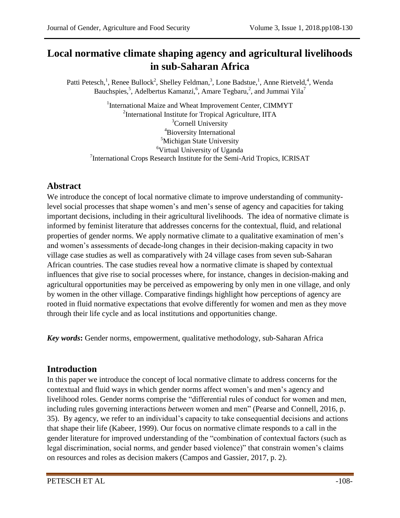# **Local normative climate shaping agency and agricultural livelihoods in sub-Saharan Africa**

Patti Petesch,<sup>1</sup>, Renee Bullock<sup>2</sup>, Shelley Feldman,<sup>3</sup>, Lone Badstue,<sup>1</sup>, Anne Rietveld,<sup>4</sup>, Wenda Bauchspies,<sup>5</sup>, Adelbertus Kamanzi,<sup>6</sup>, Amare Tegbaru,<sup>2</sup>, and Jummai Yila<sup>7</sup>

<sup>1</sup>International Maize and Wheat Improvement Center, CIMMYT <sup>2</sup>International Institute for Tropical Agriculture, IITA <sup>3</sup>Cornell University <sup>4</sup>Bioversity International <sup>5</sup>Michigan State University <sup>6</sup>Virtual University of Uganda <sup>7</sup>International Crops Research Institute for the Semi-Arid Tropics, ICRISAT

# **Abstract**

We introduce the concept of local normative climate to improve understanding of communitylevel social processes that shape women's and men's sense of agency and capacities for taking important decisions, including in their agricultural livelihoods. The idea of normative climate is informed by feminist literature that addresses concerns for the contextual, fluid, and relational properties of gender norms. We apply normative climate to a qualitative examination of men's and women's assessments of decade-long changes in their decision-making capacity in two village case studies as well as comparatively with 24 village cases from seven sub-Saharan African countries. The case studies reveal how a normative climate is shaped by contextual influences that give rise to social processes where, for instance, changes in decision-making and agricultural opportunities may be perceived as empowering by only men in one village, and only by women in the other village. Comparative findings highlight how perceptions of agency are rooted in fluid normative expectations that evolve differently for women and men as they move through their life cycle and as local institutions and opportunities change.

*Key words***:** Gender norms, empowerment, qualitative methodology, sub-Saharan Africa

# **Introduction**

In this paper we introduce the concept of local normative climate to address concerns for the contextual and fluid ways in which gender norms affect women's and men's agency and livelihood roles. Gender norms comprise the "differential rules of conduct for women and men, including rules governing interactions *between* women and men" (Pearse and Connell, 2016, p. 35). By agency, we refer to an individual's capacity to take consequential decisions and actions that shape their life (Kabeer, 1999). Our focus on normative climate responds to a call in the gender literature for improved understanding of the "combination of contextual factors (such as legal discrimination, social norms, and gender based violence)" that constrain women's claims on resources and roles as decision makers (Campos and Gassier, 2017, p. 2).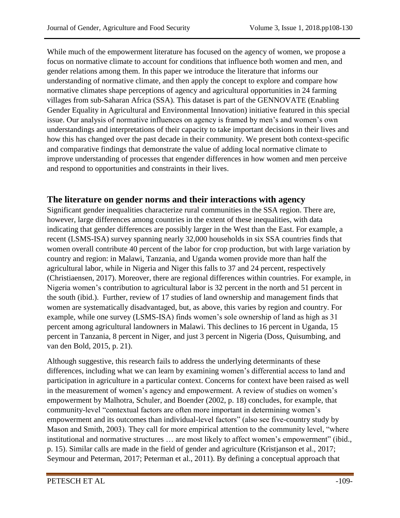While much of the empowerment literature has focused on the agency of women, we propose a focus on normative climate to account for conditions that influence both women and men, and gender relations among them. In this paper we introduce the literature that informs our understanding of normative climate, and then apply the concept to explore and compare how normative climates shape perceptions of agency and agricultural opportunities in 24 farming villages from sub-Saharan Africa (SSA). This dataset is part of the GENNOVATE (Enabling Gender Equality in Agricultural and Environmental Innovation) initiative featured in this special issue. Our analysis of normative influences on agency is framed by men's and women's own understandings and interpretations of their capacity to take important decisions in their lives and how this has changed over the past decade in their community. We present both context-specific and comparative findings that demonstrate the value of adding local normative climate to improve understanding of processes that engender differences in how women and men perceive and respond to opportunities and constraints in their lives.

## **The literature on gender norms and their interactions with agency**

Significant gender inequalities characterize rural communities in the SSA region. There are, however, large differences among countries in the extent of these inequalities, with data indicating that gender differences are possibly larger in the West than the East. For example, a recent (LSMS-ISA) survey spanning nearly 32,000 households in six SSA countries finds that women overall contribute 40 percent of the labor for crop production, but with large variation by country and region: in Malawi, Tanzania, and Uganda women provide more than half the agricultural labor, while in Nigeria and Niger this falls to 37 and 24 percent, respectively (Christiaensen, 2017). Moreover, there are regional differences within countries. For example, in Nigeria women's contribution to agricultural labor is 32 percent in the north and 51 percent in the south (ibid.). Further, review of 17 studies of land ownership and management finds that women are systematically disadvantaged, but, as above, this varies by region and country. For example, while one survey (LSMS-ISA) finds women's sole ownership of land as high as 31 percent among agricultural landowners in Malawi. This declines to 16 percent in Uganda, 15 percent in Tanzania, 8 percent in Niger, and just 3 percent in Nigeria (Doss, Quisumbing, and van den Bold, 2015, p. 21).

Although suggestive, this research fails to address the underlying determinants of these differences, including what we can learn by examining women's differential access to land and participation in agriculture in a particular context. Concerns for context have been raised as well in the measurement of women's agency and empowerment. A review of studies on women's empowerment by Malhotra, Schuler, and Boender (2002, p. 18) concludes, for example, that community-level "contextual factors are often more important in determining women's empowerment and its outcomes than individual-level factors" (also see five-country study by Mason and Smith, 2003). They call for more empirical attention to the community level, "where institutional and normative structures ... are most likely to affect women's empowerment" (ibid., p. 15). Similar calls are made in the field of gender and agriculture (Kristjanson et al., 2017; Seymour and Peterman, 2017; Peterman et al., 2011). By defining a conceptual approach that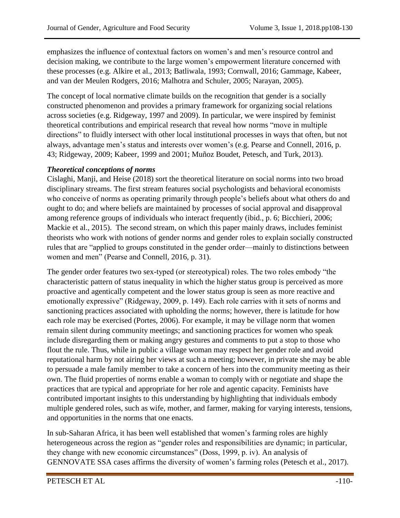emphasizes the influence of contextual factors on women's and men's resource control and decision making, we contribute to the large women's empowerment literature concerned with these processes (e.g. Alkire et al., 2013; Batliwala, 1993; Cornwall, 2016; Gammage, Kabeer, and van der Meulen Rodgers, 2016; Malhotra and Schuler, 2005; Narayan, 2005).

The concept of local normative climate builds on the recognition that gender is a socially constructed phenomenon and provides a primary framework for organizing social relations across societies (e.g. Ridgeway, 1997 and 2009). In particular, we were inspired by feminist theoretical contributions and empirical research that reveal how norms "move in multiple directions" to fluidly intersect with other local institutional processes in ways that often, but not always, advantage men's status and interests over women's (e.g. Pearse and Connell, 2016, p. 43; Ridgeway, 2009; Kabeer, 1999 and 2001; Muñoz Boudet, Petesch, and Turk, 2013).

#### *Theoretical conceptions of norms*

Cislaghi, Manji, and Heise (2018) sort the theoretical literature on social norms into two broad disciplinary streams. The first stream features social psychologists and behavioral economists who conceive of norms as operating primarily through people's beliefs about what others do and ought to do; and where beliefs are maintained by processes of social approval and disapproval among reference groups of individuals who interact frequently (ibid., p. 6; Bicchieri, 2006; Mackie et al., 2015). The second stream, on which this paper mainly draws, includes feminist theorists who work with notions of gender norms and gender roles to explain socially constructed rules that are "applied to groups constituted in the gender order—mainly to distinctions between women and men" (Pearse and Connell, 2016, p. 31).

The gender order features two sex-typed (or stereotypical) roles. The two roles embody "the characteristic pattern of status inequality in which the higher status group is perceived as more proactive and agentically competent and the lower status group is seen as more reactive and emotionally expressive" (Ridgeway, 2009, p. 149). Each role carries with it sets of norms and sanctioning practices associated with upholding the norms; however, there is latitude for how each role may be exercised (Portes, 2006). For example, it may be village norm that women remain silent during community meetings; and sanctioning practices for women who speak include disregarding them or making angry gestures and comments to put a stop to those who flout the rule. Thus, while in public a village woman may respect her gender role and avoid reputational harm by not airing her views at such a meeting; however, in private she may be able to persuade a male family member to take a concern of hers into the community meeting as their own. The fluid properties of norms enable a woman to comply with or negotiate and shape the practices that are typical and appropriate for her role and agentic capacity. Feminists have contributed important insights to this understanding by highlighting that individuals embody multiple gendered roles, such as wife, mother, and farmer, making for varying interests, tensions, and opportunities in the norms that one enacts.

In sub-Saharan Africa, it has been well established that women's farming roles are highly heterogeneous across the region as "gender roles and responsibilities are dynamic; in particular, they change with new economic circumstances" (Doss, 1999, p. iv). An analysis of GENNOVATE SSA cases affirms the diversity of women's farming roles (Petesch et al., 2017).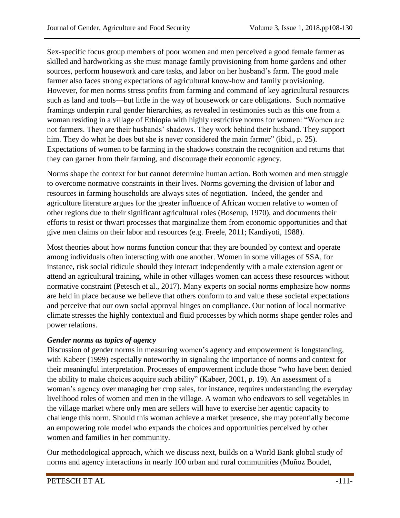Sex-specific focus group members of poor women and men perceived a good female farmer as skilled and hardworking as she must manage family provisioning from home gardens and other sources, perform housework and care tasks, and labor on her husband's farm. The good male farmer also faces strong expectations of agricultural know-how and family provisioning. However, for men norms stress profits from farming and command of key agricultural resources such as land and tools—but little in the way of housework or care obligations. Such normative framings underpin rural gender hierarchies, as revealed in testimonies such as this one from a woman residing in a village of Ethiopia with highly restrictive norms for women: "Women are not farmers. They are their husbands' shadows. They work behind their husband. They support him. They do what he does but she is never considered the main farmer" (ibid., p. 25). Expectations of women to be farming in the shadows constrain the recognition and returns that they can garner from their farming, and discourage their economic agency.

Norms shape the context for but cannot determine human action. Both women and men struggle to overcome normative constraints in their lives. Norms governing the division of labor and resources in farming households are always sites of negotiation. Indeed, the gender and agriculture literature argues for the greater influence of African women relative to women of other regions due to their significant agricultural roles (Boserup, 1970), and documents their efforts to resist or thwart processes that marginalize them from economic opportunities and that give men claims on their labor and resources (e.g. Freele, 2011; Kandiyoti, 1988).

Most theories about how norms function concur that they are bounded by context and operate among individuals often interacting with one another. Women in some villages of SSA, for instance, risk social ridicule should they interact independently with a male extension agent or attend an agricultural training, while in other villages women can access these resources without normative constraint (Petesch et al., 2017). Many experts on social norms emphasize how norms are held in place because we believe that others conform to and value these societal expectations and perceive that our own social approval hinges on compliance. Our notion of local normative climate stresses the highly contextual and fluid processes by which norms shape gender roles and power relations.

#### *Gender norms as topics of agency*

Discussion of gender norms in measuring women's agency and empowerment is longstanding, with Kabeer (1999) especially noteworthy in signaling the importance of norms and context for their meaningful interpretation. Processes of empowerment include those "who have been denied the ability to make choices acquire such ability" (Kabeer, 2001, p. 19). An assessment of a woman's agency over managing her crop sales, for instance, requires understanding the everyday livelihood roles of women and men in the village. A woman who endeavors to sell vegetables in the village market where only men are sellers will have to exercise her agentic capacity to challenge this norm. Should this woman achieve a market presence, she may potentially become an empowering role model who expands the choices and opportunities perceived by other women and families in her community.

Our methodological approach, which we discuss next, builds on a World Bank global study of norms and agency interactions in nearly 100 urban and rural communities (Muñoz Boudet,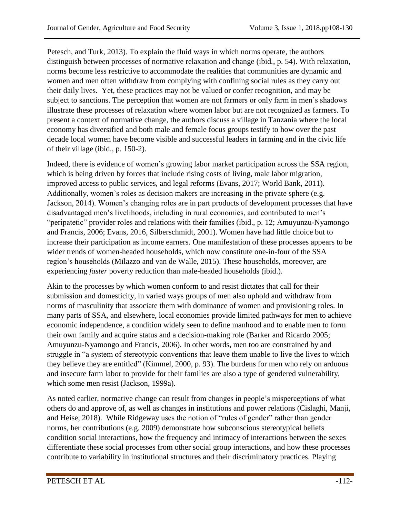Petesch, and Turk, 2013). To explain the fluid ways in which norms operate, the authors distinguish between processes of normative relaxation and change (ibid*.*, p. 54). With relaxation, norms become less restrictive to accommodate the realities that communities are dynamic and women and men often withdraw from complying with confining social rules as they carry out their daily lives. Yet, these practices may not be valued or confer recognition, and may be subject to sanctions. The perception that women are not farmers or only farm in men's shadows illustrate these processes of relaxation where women labor but are not recognized as farmers. To present a context of normative change, the authors discuss a village in Tanzania where the local economy has diversified and both male and female focus groups testify to how over the past decade local women have become visible and successful leaders in farming and in the civic life of their village (ibid., p. 150-2).

Indeed, there is evidence of women's growing labor market participation across the SSA region, which is being driven by forces that include rising costs of living, male labor migration, improved access to public services, and legal reforms (Evans, 2017; World Bank, 2011). Additionally, women's roles as decision makers are increasing in the private sphere (e.g. Jackson, 2014). Women's changing roles are in part products of development processes that have disadvantaged men's livelihoods, including in rural economies, and contributed to men's "peripatetic" provider roles and relations with their families (ibid., p. 12; Amuyunzu-Nyamongo and Francis, 2006; Evans, 2016, Silberschmidt, 2001). Women have had little choice but to increase their participation as income earners. One manifestation of these processes appears to be wider trends of women-headed households, which now constitute one-in-four of the SSA region's households (Milazzo and van de Walle, 2015). These households, moreover, are experiencing *faster* poverty reduction than male-headed households (ibid.).

Akin to the processes by which women conform to and resist dictates that call for their submission and domesticity, in varied ways groups of men also uphold and withdraw from norms of masculinity that associate them with dominance of women and provisioning roles. In many parts of SSA, and elsewhere, local economies provide limited pathways for men to achieve economic independence, a condition widely seen to define manhood and to enable men to form their own family and acquire status and a decision-making role (Barker and Ricardo 2005; Amuyunzu-Nyamongo and Francis, 2006). In other words, men too are constrained by and struggle in "a system of stereotypic conventions that leave them unable to live the lives to which they believe they are entitled" (Kimmel, 2000, p. 93). The burdens for men who rely on arduous and insecure farm labor to provide for their families are also a type of gendered vulnerability, which some men resist (Jackson, 1999a).

As noted earlier, normative change can result from changes in people's misperceptions of what others do and approve of, as well as changes in institutions and power relations (Cislaghi, Manji, and Heise, 2018). While Ridgeway uses the notion of "rules of gender" rather than gender norms, her contributions (e.g. 2009) demonstrate how subconscious stereotypical beliefs condition social interactions, how the frequency and intimacy of interactions between the sexes differentiate these social processes from other social group interactions, and how these processes contribute to variability in institutional structures and their discriminatory practices. Playing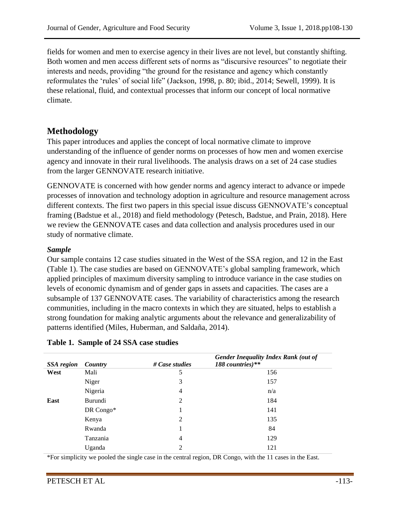fields for women and men to exercise agency in their lives are not level, but constantly shifting. Both women and men access different sets of norms as "discursive resources" to negotiate their interests and needs, providing "the ground for the resistance and agency which constantly reformulates the 'rules' of social life" (Jackson, 1998, p. 80; ibid., 2014; Sewell, 1999). It is these relational, fluid, and contextual processes that inform our concept of local normative climate.

# **Methodology**

This paper introduces and applies the concept of local normative climate to improve understanding of the influence of gender norms on processes of how men and women exercise agency and innovate in their rural livelihoods. The analysis draws on a set of 24 case studies from the larger GENNOVATE research initiative.

GENNOVATE is concerned with how gender norms and agency interact to advance or impede processes of innovation and technology adoption in agriculture and resource management across different contexts. The first two papers in this special issue discuss GENNOVATE's conceptual framing (Badstue et al., 2018) and field methodology (Petesch, Badstue, and Prain, 2018). Here we review the GENNOVATE cases and data collection and analysis procedures used in our study of normative climate.

#### *Sample*

Our sample contains 12 case studies situated in the West of the SSA region, and 12 in the East (Table 1). The case studies are based on GENNOVATE's global sampling framework, which applied principles of maximum diversity sampling to introduce variance in the case studies on levels of economic dynamism and of gender gaps in assets and capacities. The cases are a subsample of 137 GENNOVATE cases. The variability of characteristics among the research communities, including in the macro contexts in which they are situated, helps to establish a strong foundation for making analytic arguments about the relevance and generalizability of patterns identified (Miles, Huberman, and Saldaña, 2014).

|  |  |  |  | Table 1. Sample of 24 SSA case studies |
|--|--|--|--|----------------------------------------|
|--|--|--|--|----------------------------------------|

|                   |           |                | <b>Gender Inequality Index Rank (out of</b> |
|-------------------|-----------|----------------|---------------------------------------------|
| <b>SSA</b> region | Country   | # Case studies | 188 countries)**                            |
| West              | Mali      | 5              | 156                                         |
|                   | Niger     | 3              | 157                                         |
|                   | Nigeria   | 4              | n/a                                         |
| East              | Burundi   | 2              | 184                                         |
|                   | DR Congo* |                | 141                                         |
|                   | Kenya     | 2              | 135                                         |
|                   | Rwanda    |                | 84                                          |
|                   | Tanzania  | $\overline{4}$ | 129                                         |
|                   | Uganda    | 2              | 121                                         |

\*For simplicity we pooled the single case in the central region, DR Congo, with the 11 cases in the East.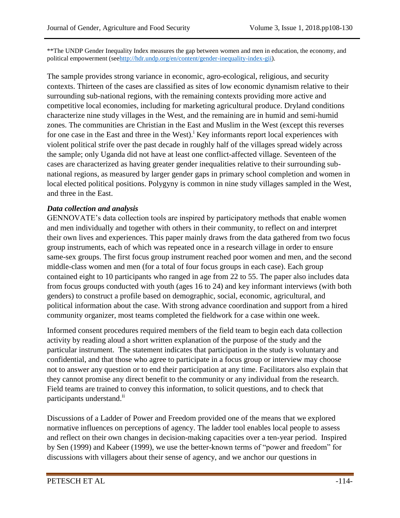\*\*The UNDP Gender Inequality Index measures the gap between women and men in education, the economy, and political empowerment (se[ehttp://hdr.undp.org/en/content/gender-inequality-index-gii\)](http://hdr.undp.org/en/content/gender-inequality-index-gii).

The sample provides strong variance in economic, agro-ecological, religious, and security contexts. Thirteen of the cases are classified as sites of low economic dynamism relative to their surrounding sub-national regions, with the remaining contexts providing more active and competitive local economies, including for marketing agricultural produce. Dryland conditions characterize nine study villages in the West, and the remaining are in humid and semi-humid zones. The communities are Christian in the East and Muslim in the West (except this reverses for one case in the East and three in the West).<sup>1</sup> Key informants report local experiences with violent political strife over the past decade in roughly half of the villages spread widely across the sample; only Uganda did not have at least one conflict-affected village. Seventeen of the cases are characterized as having greater gender inequalities relative to their surrounding subnational regions, as measured by larger gender gaps in primary school completion and women in local elected political positions. Polygyny is common in nine study villages sampled in the West, and three in the East.

#### *Data collection and analysis*

GENNOVATE's data collection tools are inspired by participatory methods that enable women and men individually and together with others in their community, to reflect on and interpret their own lives and experiences. This paper mainly draws from the data gathered from two focus group instruments, each of which was repeated once in a research village in order to ensure same-sex groups. The first focus group instrument reached poor women and men, and the second middle-class women and men (for a total of four focus groups in each case). Each group contained eight to 10 participants who ranged in age from 22 to 55. The paper also includes data from focus groups conducted with youth (ages 16 to 24) and key informant interviews (with both genders) to construct a profile based on demographic, social, economic, agricultural, and political information about the case. With strong advance coordination and support from a hired community organizer, most teams completed the fieldwork for a case within one week.

Informed consent procedures required members of the field team to begin each data collection activity by reading aloud a short written explanation of the purpose of the study and the particular instrument. The statement indicates that participation in the study is voluntary and confidential, and that those who agree to participate in a focus group or interview may choose not to answer any question or to end their participation at any time. Facilitators also explain that they cannot promise any direct benefit to the community or any individual from the research. Field teams are trained to convey this information, to solicit questions, and to check that participants understand.<sup>ii</sup>

Discussions of a Ladder of Power and Freedom provided one of the means that we explored normative influences on perceptions of agency. The ladder tool enables local people to assess and reflect on their own changes in decision-making capacities over a ten-year period. Inspired by Sen (1999) and Kabeer (1999), we use the better-known terms of "power and freedom" for discussions with villagers about their sense of agency, and we anchor our questions in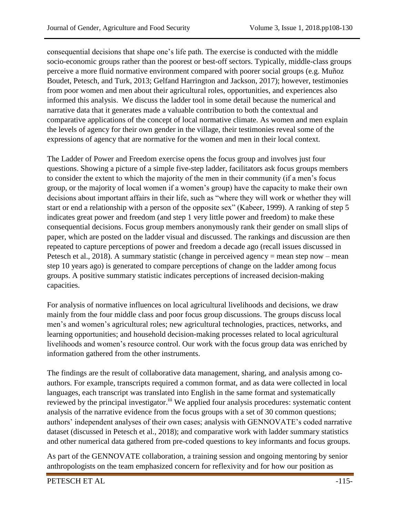consequential decisions that shape one's life path. The exercise is conducted with the middle socio-economic groups rather than the poorest or best-off sectors. Typically, middle-class groups perceive a more fluid normative environment compared with poorer social groups (e.g. Muñoz Boudet, Petesch, and Turk, 2013; Gelfand Harrington and Jackson, 2017); however, testimonies from poor women and men about their agricultural roles, opportunities, and experiences also informed this analysis. We discuss the ladder tool in some detail because the numerical and narrative data that it generates made a valuable contribution to both the contextual and comparative applications of the concept of local normative climate. As women and men explain the levels of agency for their own gender in the village, their testimonies reveal some of the expressions of agency that are normative for the women and men in their local context.

The Ladder of Power and Freedom exercise opens the focus group and involves just four questions. Showing a picture of a simple five-step ladder, facilitators ask focus groups members to consider the extent to which the majority of the men in their community (if a men's focus group, or the majority of local women if a women's group) have the capacity to make their own decisions about important affairs in their life, such as "where they will work or whether they will start or end a relationship with a person of the opposite sex" (Kabeer, 1999). A ranking of step 5 indicates great power and freedom (and step 1 very little power and freedom) to make these consequential decisions. Focus group members anonymously rank their gender on small slips of paper, which are posted on the ladder visual and discussed. The rankings and discussion are then repeated to capture perceptions of power and freedom a decade ago (recall issues discussed in Petesch et al., 2018). A summary statistic (change in perceived agency = mean step now – mean step 10 years ago) is generated to compare perceptions of change on the ladder among focus groups. A positive summary statistic indicates perceptions of increased decision-making capacities.

For analysis of normative influences on local agricultural livelihoods and decisions, we draw mainly from the four middle class and poor focus group discussions. The groups discuss local men's and women's agricultural roles; new agricultural technologies, practices, networks, and learning opportunities; and household decision-making processes related to local agricultural livelihoods and women's resource control. Our work with the focus group data was enriched by information gathered from the other instruments.

The findings are the result of collaborative data management, sharing, and analysis among coauthors. For example, transcripts required a common format, and as data were collected in local languages, each transcript was translated into English in the same format and systematically reviewed by the principal investigator.<sup>iii</sup> We applied four analysis procedures: systematic content analysis of the narrative evidence from the focus groups with a set of 30 common questions; authors' independent analyses of their own cases; analysis with GENNOVATE's coded narrative dataset (discussed in Petesch et al.*,* 2018); and comparative work with ladder summary statistics and other numerical data gathered from pre-coded questions to key informants and focus groups.

As part of the GENNOVATE collaboration, a training session and ongoing mentoring by senior anthropologists on the team emphasized concern for reflexivity and for how our position as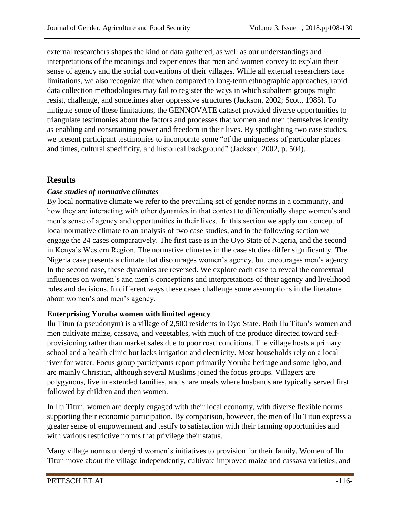external researchers shapes the kind of data gathered, as well as our understandings and interpretations of the meanings and experiences that men and women convey to explain their sense of agency and the social conventions of their villages. While all external researchers face limitations, we also recognize that when compared to long-term ethnographic approaches, rapid data collection methodologies may fail to register the ways in which subaltern groups might resist, challenge, and sometimes alter oppressive structures (Jackson, 2002; Scott, 1985). To mitigate some of these limitations, the GENNOVATE dataset provided diverse opportunities to triangulate testimonies about the factors and processes that women and men themselves identify as enabling and constraining power and freedom in their lives. By spotlighting two case studies, we present participant testimonies to incorporate some "of the uniqueness of particular places and times, cultural specificity, and historical background" (Jackson, 2002, p. 504).

## **Results**

#### *Case studies of normative climates*

By local normative climate we refer to the prevailing set of gender norms in a community, and how they are interacting with other dynamics in that context to differentially shape women's and men's sense of agency and opportunities in their lives. In this section we apply our concept of local normative climate to an analysis of two case studies, and in the following section we engage the 24 cases comparatively. The first case is in the Oyo State of Nigeria, and the second in Kenya's Western Region. The normative climates in the case studies differ significantly. The Nigeria case presents a climate that discourages women's agency, but encourages men's agency. In the second case, these dynamics are reversed. We explore each case to reveal the contextual influences on women's and men's conceptions and interpretations of their agency and livelihood roles and decisions. In different ways these cases challenge some assumptions in the literature about women's and men's agency.

#### **Enterprising Yoruba women with limited agency**

Ilu Titun (a pseudonym) is a village of 2,500 residents in Oyo State. Both Ilu Titun's women and men cultivate maize, cassava, and vegetables, with much of the produce directed toward selfprovisioning rather than market sales due to poor road conditions. The village hosts a primary school and a health clinic but lacks irrigation and electricity. Most households rely on a local river for water. Focus group participants report primarily Yoruba heritage and some Igbo, and are mainly Christian, although several Muslims joined the focus groups. Villagers are polygynous, live in extended families, and share meals where husbands are typically served first followed by children and then women.

In Ilu Titun, women are deeply engaged with their local economy, with diverse flexible norms supporting their economic participation. By comparison, however, the men of Ilu Titun express a greater sense of empowerment and testify to satisfaction with their farming opportunities and with various restrictive norms that privilege their status.

Many village norms undergird women's initiatives to provision for their family. Women of Ilu Titun move about the village independently, cultivate improved maize and cassava varieties, and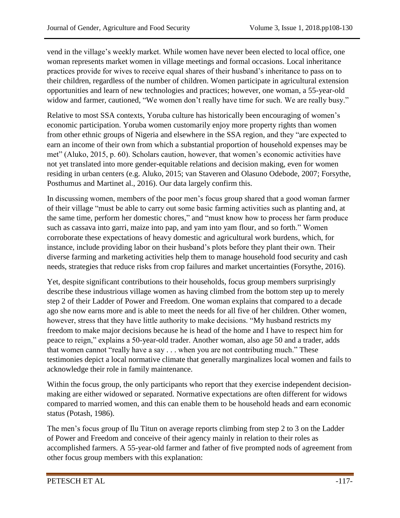vend in the village's weekly market. While women have never been elected to local office, one woman represents market women in village meetings and formal occasions. Local inheritance practices provide for wives to receive equal shares of their husband's inheritance to pass on to their children, regardless of the number of children. Women participate in agricultural extension opportunities and learn of new technologies and practices; however, one woman, a 55-year-old widow and farmer, cautioned, "We women don't really have time for such. We are really busy."

Relative to most SSA contexts, Yoruba culture has historically been encouraging of women's economic participation. Yoruba women customarily enjoy more property rights than women from other ethnic groups of Nigeria and elsewhere in the SSA region, and they "are expected to earn an income of their own from which a substantial proportion of household expenses may be met" (Aluko, 2015, p. 60). Scholars caution, however, that women's economic activities have not yet translated into more gender-equitable relations and decision making, even for women residing in urban centers (e.g. Aluko, 2015; van Staveren and Olasuno Odebode, 2007; Forsythe, Posthumus and Martinet al., 2016). Our data largely confirm this.

In discussing women, members of the poor men's focus group shared that a good woman farmer of their village "must be able to carry out some basic farming activities such as planting and, at the same time, perform her domestic chores," and "must know how to process her farm produce such as cassava into garri, maize into pap, and yam into yam flour, and so forth." Women corroborate these expectations of heavy domestic and agricultural work burdens, which, for instance, include providing labor on their husband's plots before they plant their own. Their diverse farming and marketing activities help them to manage household food security and cash needs, strategies that reduce risks from crop failures and market uncertainties (Forsythe, 2016).

Yet, despite significant contributions to their households, focus group members surprisingly describe these industrious village women as having climbed from the bottom step up to merely step 2 of their Ladder of Power and Freedom. One woman explains that compared to a decade ago she now earns more and is able to meet the needs for all five of her children. Other women, however, stress that they have little authority to make decisions. "My husband restricts my freedom to make major decisions because he is head of the home and I have to respect him for peace to reign," explains a 50-year-old trader. Another woman, also age 50 and a trader, adds that women cannot "really have a say . . . when you are not contributing much." These testimonies depict a local normative climate that generally marginalizes local women and fails to acknowledge their role in family maintenance.

Within the focus group, the only participants who report that they exercise independent decisionmaking are either widowed or separated. Normative expectations are often different for widows compared to married women, and this can enable them to be household heads and earn economic status (Potash, 1986).

The men's focus group of Ilu Titun on average reports climbing from step 2 to 3 on the Ladder of Power and Freedom and conceive of their agency mainly in relation to their roles as accomplished farmers. A 55-year-old farmer and father of five prompted nods of agreement from other focus group members with this explanation: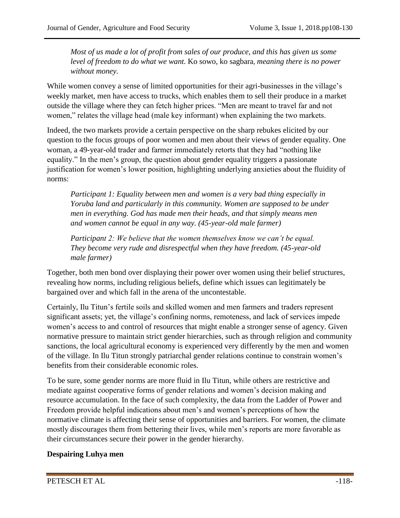*Most of us made a lot of profit from sales of our produce, and this has given us some level of freedom to do what we want.* Ko sowo, ko sagbara*, meaning there is no power without money.*

While women convey a sense of limited opportunities for their agri-businesses in the village's weekly market, men have access to trucks, which enables them to sell their produce in a market outside the village where they can fetch higher prices. "Men are meant to travel far and not women," relates the village head (male key informant) when explaining the two markets.

Indeed, the two markets provide a certain perspective on the sharp rebukes elicited by our question to the focus groups of poor women and men about their views of gender equality. One woman, a 49-year-old trader and farmer immediately retorts that they had "nothing like equality." In the men's group, the question about gender equality triggers a passionate justification for women's lower position, highlighting underlying anxieties about the fluidity of norms:

*Participant 1: Equality between men and women is a very bad thing especially in Yoruba land and particularly in this community. Women are supposed to be under men in everything. God has made men their heads, and that simply means men and women cannot be equal in any way. (45-year-old male farmer)*

*Participant 2: We believe that the women themselves know we can't be equal. They become very rude and disrespectful when they have freedom. (45-year-old male farmer)*

Together, both men bond over displaying their power over women using their belief structures, revealing how norms, including religious beliefs, define which issues can legitimately be bargained over and which fall in the arena of the uncontestable.

Certainly, Ilu Titun's fertile soils and skilled women and men farmers and traders represent significant assets; yet, the village's confining norms, remoteness, and lack of services impede women's access to and control of resources that might enable a stronger sense of agency. Given normative pressure to maintain strict gender hierarchies, such as through religion and community sanctions, the local agricultural economy is experienced very differently by the men and women of the village. In Ilu Titun strongly patriarchal gender relations continue to constrain women's benefits from their considerable economic roles.

To be sure, some gender norms are more fluid in Ilu Titun, while others are restrictive and mediate against cooperative forms of gender relations and women's decision making and resource accumulation. In the face of such complexity, the data from the Ladder of Power and Freedom provide helpful indications about men's and women's perceptions of how the normative climate is affecting their sense of opportunities and barriers. For women, the climate mostly discourages them from bettering their lives, while men's reports are more favorable as their circumstances secure their power in the gender hierarchy.

#### **Despairing Luhya men**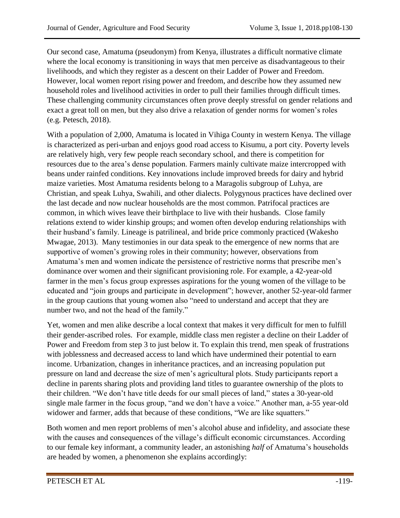Our second case, Amatuma (pseudonym) from Kenya, illustrates a difficult normative climate where the local economy is transitioning in ways that men perceive as disadvantageous to their livelihoods, and which they register as a descent on their Ladder of Power and Freedom. However, local women report rising power and freedom, and describe how they assumed new household roles and livelihood activities in order to pull their families through difficult times. These challenging community circumstances often prove deeply stressful on gender relations and exact a great toll on men, but they also drive a relaxation of gender norms for women's roles (e.g. Petesch, 2018).

With a population of 2,000, Amatuma is located in Vihiga County in western Kenya. The village is characterized as peri-urban and enjoys good road access to Kisumu, a port city. Poverty levels are relatively high, very few people reach secondary school, and there is competition for resources due to the area's dense population. Farmers mainly cultivate maize intercropped with beans under rainfed conditions. Key innovations include improved breeds for dairy and hybrid maize varieties. Most Amatuma residents belong to a Maragolis subgroup of Luhya, are Christian, and speak Luhya, Swahili, and other dialects. Polygynous practices have declined over the last decade and now nuclear households are the most common. Patrifocal practices are common, in which wives leave their birthplace to live with their husbands. Close family relations extend to wider kinship groups; and women often develop enduring relationships with their husband's family. Lineage is patrilineal, and bride price commonly practiced (Wakesho Mwagae, 2013). Many testimonies in our data speak to the emergence of new norms that are supportive of women's growing roles in their community; however, observations from Amatuma's men and women indicate the persistence of restrictive norms that prescribe men's dominance over women and their significant provisioning role. For example, a 42-year-old farmer in the men's focus group expresses aspirations for the young women of the village to be educated and "join groups and participate in development"; however, another 52-year-old farmer in the group cautions that young women also "need to understand and accept that they are number two, and not the head of the family."

Yet, women and men alike describe a local context that makes it very difficult for men to fulfill their gender-ascribed roles. For example, middle class men register a decline on their Ladder of Power and Freedom from step 3 to just below it. To explain this trend, men speak of frustrations with joblessness and decreased access to land which have undermined their potential to earn income. Urbanization, changes in inheritance practices, and an increasing population put pressure on land and decrease the size of men's agricultural plots. Study participants report a decline in parents sharing plots and providing land titles to guarantee ownership of the plots to their children. "We don't have title deeds for our small pieces of land," states a 30-year-old single male farmer in the focus group, "and we don't have a voice." Another man, a-55 year-old widower and farmer, adds that because of these conditions, "We are like squatters."

Both women and men report problems of men's alcohol abuse and infidelity, and associate these with the causes and consequences of the village's difficult economic circumstances. According to our female key informant, a community leader, an astonishing *half* of Amatuma's households are headed by women, a phenomenon she explains accordingly: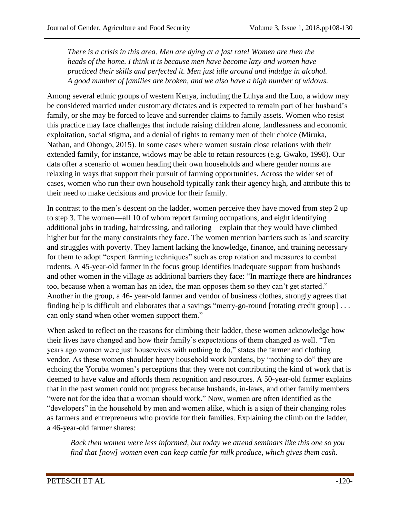*There is a crisis in this area. Men are dying at a fast rate! Women are then the heads of the home. I think it is because men have become lazy and women have practiced their skills and perfected it. Men just idle around and indulge in alcohol. A good number of families are broken, and we also have a high number of widows.*

Among several ethnic groups of western Kenya, including the Luhya and the Luo, a widow may be considered married under customary dictates and is expected to remain part of her husband's family, or she may be forced to leave and surrender claims to family assets. Women who resist this practice may face challenges that include raising children alone, landlessness and economic exploitation, social stigma, and a denial of rights to remarry men of their choice (Miruka, Nathan, and Obongo, 2015). In some cases where women sustain close relations with their extended family, for instance, widows may be able to retain resources (e.g. Gwako, 1998). Our data offer a scenario of women heading their own households and where gender norms are relaxing in ways that support their pursuit of farming opportunities. Across the wider set of cases, women who run their own household typically rank their agency high, and attribute this to their need to make decisions and provide for their family.

In contrast to the men's descent on the ladder, women perceive they have moved from step 2 up to step 3. The women—all 10 of whom report farming occupations, and eight identifying additional jobs in trading, hairdressing, and tailoring—explain that they would have climbed higher but for the many constraints they face. The women mention barriers such as land scarcity and struggles with poverty. They lament lacking the knowledge, finance, and training necessary for them to adopt "expert farming techniques" such as crop rotation and measures to combat rodents. A 45-year-old farmer in the focus group identifies inadequate support from husbands and other women in the village as additional barriers they face: "In marriage there are hindrances too, because when a woman has an idea, the man opposes them so they can't get started." Another in the group, a 46- year-old farmer and vendor of business clothes, strongly agrees that finding help is difficult and elaborates that a savings "merry-go-round [rotating credit group] . . . can only stand when other women support them."

When asked to reflect on the reasons for climbing their ladder, these women acknowledge how their lives have changed and how their family's expectations of them changed as well. "Ten years ago women were just housewives with nothing to do," states the farmer and clothing vendor. As these women shoulder heavy household work burdens, by "nothing to do" they are echoing the Yoruba women's perceptions that they were not contributing the kind of work that is deemed to have value and affords them recognition and resources. A 50-year-old farmer explains that in the past women could not progress because husbands, in-laws, and other family members "were not for the idea that a woman should work." Now, women are often identified as the "developers" in the household by men and women alike, which is a sign of their changing roles as farmers and entrepreneurs who provide for their families. Explaining the climb on the ladder, a 46-year-old farmer shares:

*Back then women were less informed, but today we attend seminars like this one so you find that [now] women even can keep cattle for milk produce, which gives them cash.*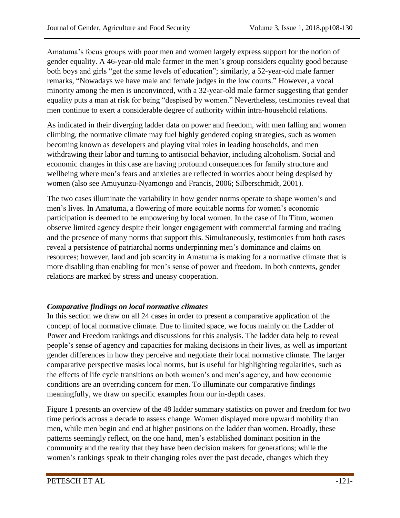Amatuma's focus groups with poor men and women largely express support for the notion of gender equality. A 46-year-old male farmer in the men's group considers equality good because both boys and girls "get the same levels of education"; similarly, a 52-year-old male farmer remarks, "Nowadays we have male and female judges in the low courts." However, a vocal minority among the men is unconvinced, with a 32-year-old male farmer suggesting that gender equality puts a man at risk for being "despised by women." Nevertheless, testimonies reveal that men continue to exert a considerable degree of authority within intra-household relations.

As indicated in their diverging ladder data on power and freedom, with men falling and women climbing, the normative climate may fuel highly gendered coping strategies, such as women becoming known as developers and playing vital roles in leading households, and men withdrawing their labor and turning to antisocial behavior, including alcoholism. Social and economic changes in this case are having profound consequences for family structure and wellbeing where men's fears and anxieties are reflected in worries about being despised by women (also see Amuyunzu-Nyamongo and Francis, 2006; Silberschmidt, 2001).

The two cases illuminate the variability in how gender norms operate to shape women's and men's lives. In Amatuma, a flowering of more equitable norms for women's economic participation is deemed to be empowering by local women. In the case of Ilu Titun, women observe limited agency despite their longer engagement with commercial farming and trading and the presence of many norms that support this. Simultaneously, testimonies from both cases reveal a persistence of patriarchal norms underpinning men's dominance and claims on resources; however, land and job scarcity in Amatuma is making for a normative climate that is more disabling than enabling for men's sense of power and freedom. In both contexts, gender relations are marked by stress and uneasy cooperation.

#### *Comparative findings on local normative climates*

In this section we draw on all 24 cases in order to present a comparative application of the concept of local normative climate. Due to limited space, we focus mainly on the Ladder of Power and Freedom rankings and discussions for this analysis. The ladder data help to reveal people's sense of agency and capacities for making decisions in their lives, as well as important gender differences in how they perceive and negotiate their local normative climate. The larger comparative perspective masks local norms, but is useful for highlighting regularities, such as the effects of life cycle transitions on both women's and men's agency, and how economic conditions are an overriding concern for men. To illuminate our comparative findings meaningfully, we draw on specific examples from our in-depth cases.

Figure 1 presents an overview of the 48 ladder summary statistics on power and freedom for two time periods across a decade to assess change. Women displayed more upward mobility than men, while men begin and end at higher positions on the ladder than women. Broadly, these patterns seemingly reflect, on the one hand, men's established dominant position in the community and the reality that they have been decision makers for generations; while the women's rankings speak to their changing roles over the past decade, changes which they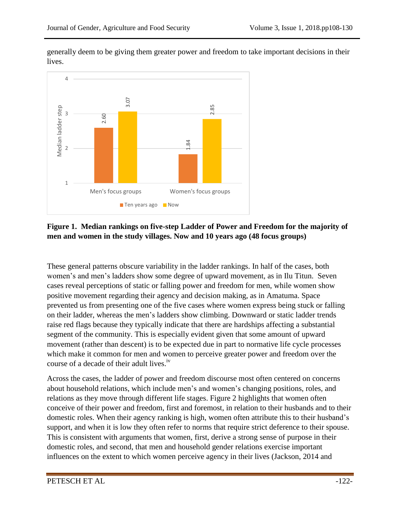

generally deem to be giving them greater power and freedom to take important decisions in their lives.

#### **Figure 1. Median rankings on five-step Ladder of Power and Freedom for the majority of men and women in the study villages. Now and 10 years ago (48 focus groups)**

These general patterns obscure variability in the ladder rankings. In half of the cases, both women's and men's ladders show some degree of upward movement, as in Ilu Titun. Seven cases reveal perceptions of static or falling power and freedom for men, while women show positive movement regarding their agency and decision making, as in Amatuma. Space prevented us from presenting one of the five cases where women express being stuck or falling on their ladder, whereas the men's ladders show climbing. Downward or static ladder trends raise red flags because they typically indicate that there are hardships affecting a substantial segment of the community. This is especially evident given that some amount of upward movement (rather than descent) is to be expected due in part to normative life cycle processes which make it common for men and women to perceive greater power and freedom over the course of a decade of their adult lives.<sup>iv</sup> **Extending the extent of the extent to the extent to which women's focus groups**<br> **Extending the extent to which women's focus groups**<br> **External Transfersion and Women in the study villages. Now and 10 years ago (48 focu** 

Across the cases, the ladder of power and freedom discourse most often centered on concerns about household relations, which include men's and women's changing positions, roles, and relations as they move through different life stages. Figure 2 highlights that women often conceive of their power and freedom, first and foremost, in relation to their husbands and to their domestic roles. When their agency ranking is high, women often attribute this to their husband's support, and when it is low they often refer to norms that require strict deference to their spouse. This is consistent with arguments that women, first, derive a strong sense of purpose in their domestic roles, and second, that men and household gender relations exercise important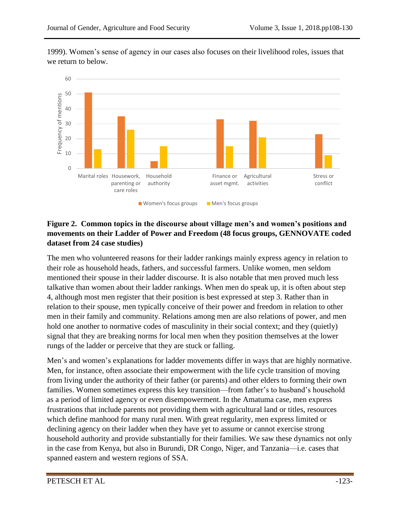

1999). Women's sense of agency in our cases also focuses on their livelihood roles, issues that we return to below.

#### **Figure 2. Common topics in the discourse about village men's and women's positions and movements on their Ladder of Power and Freedom (48 focus groups, GENNOVATE coded dataset from 24 case studies)**

The men who volunteered reasons for their ladder rankings mainly express agency in relation to their role as household heads, fathers, and successful farmers. Unlike women, men seldom mentioned their spouse in their ladder discourse. It is also notable that men proved much less talkative than women about their ladder rankings. When men do speak up, it is often about step 4, although most men register that their position is best expressed at step 3. Rather than in relation to their spouse, men typically conceive of their power and freedom in relation to other men in their family and community. Relations among men are also relations of power, and men hold one another to normative codes of masculinity in their social context; and they (quietly) signal that they are breaking norms for local men when they position themselves at the lower rungs of the ladder or perceive that they are stuck or falling.

Men's and women's explanations for ladder movements differ in ways that are highly normative. Men, for instance, often associate their empowerment with the life cycle transition of moving from living under the authority of their father (or parents) and other elders to forming their own families. Women sometimes express this key transition—from father's to husband's household as a period of limited agency or even disempowerment. In the Amatuma case, men express frustrations that include parents not providing them with agricultural land or titles, resources which define manhood for many rural men. With great regularity, men express limited or declining agency on their ladder when they have yet to assume or cannot exercise strong household authority and provide substantially for their families. We saw these dynamics not only in the case from Kenya, but also in Burundi, DR Congo, Niger, and Tanzania—i.e. cases that spanned eastern and western regions of SSA.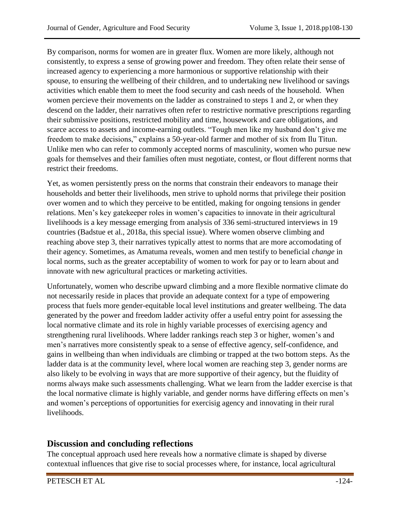By comparison, norms for women are in greater flux. Women are more likely, although not consistently*,* to express a sense of growing power and freedom. They often relate their sense of increased agency to experiencing a more harmonious or supportive relationship with their spouse, to ensuring the wellbeing of their children, and to undertaking new livelihood or savings activities which enable them to meet the food security and cash needs of the household. When women percieve their movements on the ladder as constrained to steps 1 and 2, or when they descend on the ladder, their narratives often refer to restrictive normative prescriptions regarding their submissive positions, restricted mobility and time, housework and care obligations, and scarce access to assets and income-earning outlets. "Tough men like my husband don't give me freedom to make decisions," explains a 50-year-old farmer and mother of six from Ilu Titun. Unlike men who can refer to commonly accepted norms of masculinity, women who pursue new goals for themselves and their families often must negotiate, contest, or flout different norms that restrict their freedoms.

Yet, as women persistently press on the norms that constrain their endeavors to manage their households and better their livelihoods, men strive to uphold norms that privilege their position over women and to which they perceive to be entitled, making for ongoing tensions in gender relations. Men's key gatekeeper roles in women's capacities to innovate in their agricultural livelihoods is a key message emerging from analysis of 336 semi-structured interviews in 19 countries (Badstue et al., 2018a, this special issue). Where women observe climbing and reaching above step 3, their narratives typically attest to norms that are more accomodating of their agency. Sometimes, as Amatuma reveals, women and men testify to beneficial *change* in local norms, such as the greater acceptability of women to work for pay or to learn about and innovate with new agricultural practices or marketing activities.

Unfortunately, women who describe upward climbing and a more flexible normative climate do not necessarily reside in places that provide an adequate context for a type of empowering process that fuels more gender-equitable local level institutions and greater wellbeing. The data generated by the power and freedom ladder activity offer a useful entry point for assessing the local normative climate and its role in highly variable processes of exercising agency and strengthening rural livelihoods. Where ladder rankings reach step 3 or higher, women's and men's narratives more consistently speak to a sense of effective agency, self-confidence, and gains in wellbeing than when individuals are climbing or trapped at the two bottom steps. As the ladder data is at the community level, where local women are reaching step 3, gender norms are also likely to be evolving in ways that are more supportive of their agency, but the fluidity of norms always make such assessments challenging. What we learn from the ladder exercise is that the local normative climate is highly variable, and gender norms have differing effects on men's and women's perceptions of opportunities for exercisig agency and innovating in their rural livelihoods.

# **Discussion and concluding reflections**

The conceptual approach used here reveals how a normative climate is shaped by diverse contextual influences that give rise to social processes where, for instance, local agricultural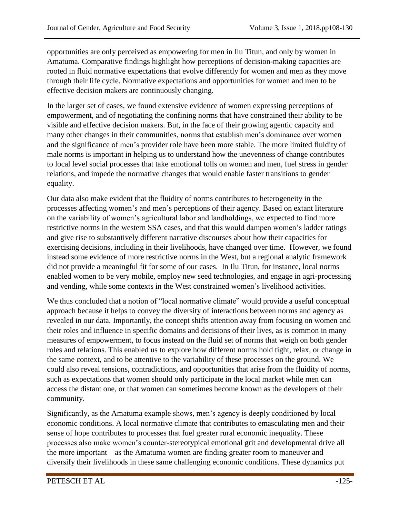opportunities are only perceived as empowering for men in Ilu Titun, and only by women in Amatuma. Comparative findings highlight how perceptions of decision-making capacities are rooted in fluid normative expectations that evolve differently for women and men as they move through their life cycle. Normative expectations and opportunities for women and men to be effective decision makers are continuously changing.

In the larger set of cases, we found extensive evidence of women expressing perceptions of empowerment, and of negotiating the confining norms that have constrained their ability to be visible and effective decision makers. But, in the face of their growing agentic capacity and many other changes in their communities, norms that establish men's dominance over women and the significance of men's provider role have been more stable. The more limited fluidity of male norms is important in helping us to understand how the unevenness of change contributes to local level social processes that take emotional tolls on women and men, fuel stress in gender relations, and impede the normative changes that would enable faster transitions to gender equality.

Our data also make evident that the fluidity of norms contributes to heterogeneity in the processes affecting women's and men's perceptions of their agency. Based on extant literature on the variability of women's agricultural labor and landholdings, we expected to find more restrictive norms in the western SSA cases, and that this would dampen women's ladder ratings and give rise to substantively different narrative discourses about how their capacities for exercising decisions, including in their livelihoods, have changed over time. However, we found instead some evidence of more restrictive norms in the West, but a regional analytic framework did not provide a meaningful fit for some of our cases. In Ilu Titun, for instance, local norms enabled women to be very mobile, employ new seed technologies, and engage in agri-processing and vending, while some contexts in the West constrained women's livelihood activities.

We thus concluded that a notion of "local normative climate" would provide a useful conceptual approach because it helps to convey the diversity of interactions between norms and agency as revealed in our data. Importantly, the concept shifts attention away from focusing on women and their roles and influence in specific domains and decisions of their lives, as is common in many measures of empowerment, to focus instead on the fluid set of norms that weigh on both gender roles and relations. This enabled us to explore how different norms hold tight, relax, or change in the same context, and to be attentive to the variability of these processes on the ground. We could also reveal tensions, contradictions, and opportunities that arise from the fluidity of norms, such as expectations that women should only participate in the local market while men can access the distant one, or that women can sometimes become known as the developers of their community.

Significantly, as the Amatuma example shows, men's agency is deeply conditioned by local economic conditions. A local normative climate that contributes to emasculating men and their sense of hope contributes to processes that fuel greater rural economic inequality. These processes also make women's counter-stereotypical emotional grit and developmental drive all the more important—as the Amatuma women are finding greater room to maneuver and diversify their livelihoods in these same challenging economic conditions. These dynamics put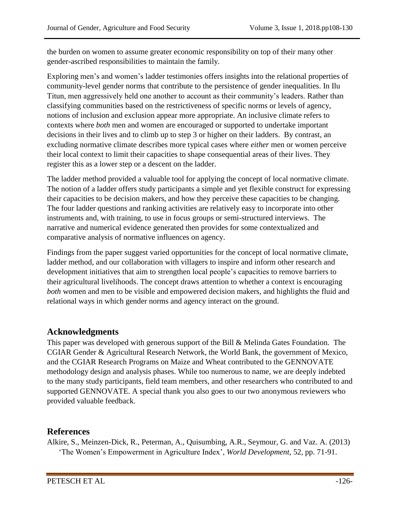the burden on women to assume greater economic responsibility on top of their many other gender-ascribed responsibilities to maintain the family.

Exploring men's and women's ladder testimonies offers insights into the relational properties of community-level gender norms that contribute to the persistence of gender inequalities. In Ilu Titun, men aggressively held one another to account as their community's leaders. Rather than classifying communities based on the restrictiveness of specific norms or levels of agency, notions of inclusion and exclusion appear more appropriate. An inclusive climate refers to contexts where *both* men and women are encouraged or supported to undertake important decisions in their lives and to climb up to step 3 or higher on their ladders. By contrast, an excluding normative climate describes more typical cases where *either* men or women perceive their local context to limit their capacities to shape consequential areas of their lives. They register this as a lower step or a descent on the ladder.

The ladder method provided a valuable tool for applying the concept of local normative climate. The notion of a ladder offers study participants a simple and yet flexible construct for expressing their capacities to be decision makers, and how they perceive these capacities to be changing. The four ladder questions and ranking activities are relatively easy to incorporate into other instruments and, with training, to use in focus groups or semi-structured interviews. The narrative and numerical evidence generated then provides for some contextualized and comparative analysis of normative influences on agency.

Findings from the paper suggest varied opportunities for the concept of local normative climate, ladder method, and our collaboration with villagers to inspire and inform other research and development initiatives that aim to strengthen local people's capacities to remove barriers to their agricultural livelihoods. The concept draws attention to whether a context is encouraging *both* women and men to be visible and empowered decision makers, and highlights the fluid and relational ways in which gender norms and agency interact on the ground.

# **Acknowledgments**

This paper was developed with generous support of the Bill & Melinda Gates Foundation. The CGIAR Gender & Agricultural Research Network, the World Bank, the government of Mexico, and the CGIAR Research Programs on Maize and Wheat contributed to the GENNOVATE methodology design and analysis phases. While too numerous to name, we are deeply indebted to the many study participants, field team members, and other researchers who contributed to and supported GENNOVATE. A special thank you also goes to our two anonymous reviewers who provided valuable feedback.

## **References**

Alkire, S., Meinzen-Dick, R., Peterman, A., Quisumbing, A.R., Seymour, G. and Vaz. A. (2013) ['The Women's Empowerment in Agriculture Index'](http://www.sciencedirect.com/science/article/pii/S0305750X13001629), *World Development*, 52, pp. 71-91.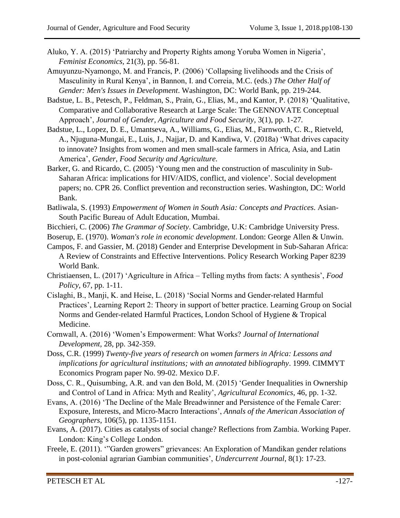- Aluko, Y. A. (2015) 'Patriarchy and Property Rights among Yoruba Women in Nigeria', *Feminist Economics,* 21(3), pp. 56-81.
- Amuyunzu-Nyamongo, M. and Francis, P. (2006) 'Collapsing livelihoods and the Crisis of Masculinity in Rural Kenya', in Bannon, I. and Correia, M.C. (eds.) *The Other Half of Gender: Men's Issues in Development*. Washington, DC: World Bank, pp. 219-244.
- Badstue, L. B., Petesch, P., Feldman, S., Prain, G., Elias, M., and Kantor, P. (2018) 'Qualitative, Comparative and Collaborative Research at Large Scale: The GENNOVATE Conceptual Approach', *Journal of Gender, Agriculture and Food Security,* 3(1), pp. 1-27*.*
- Badstue, L., Lopez, D. E., Umantseva, A., Williams, G., Elias, M., Farnworth, C. R., Rietveld, A., Njuguna-Mungai, E., Luis, J., Najjar, D. and Kandiwa, V. (2018a) 'What drives capacity to innovate? Insights from women and men small-scale farmers in Africa, Asia, and Latin America', *Gender, Food Security and Agriculture.*
- Barker, G. and Ricardo, C. (2005) 'Young men and the construction of masculinity in Sub-Saharan Africa: implications for HIV/AIDS, conflict, and violence'. Social development papers; no. CPR 26. Conflict prevention and reconstruction series. Washington, DC: World Bank.
- Batliwala, S. (1993) *Empowerment of Women in South Asia: Concepts and Practices*. Asian-South Pacific Bureau of Adult Education, Mumbai.
- Bicchieri, C. (2006) *The Grammar of Society*. Cambridge, U.K: Cambridge University Press.
- Boserup, E. (1970). *Woman's role in economic development*. London: George Allen & Unwin.
- Campos, F. and Gassier, M. (2018) Gender and Enterprise Development in Sub-Saharan Africa: A Review of Constraints and Effective Interventions. Policy Research Working Paper 8239 World Bank.
- Christiaensen, L. (2017) 'Agriculture in Africa Telling myths from facts: A synthesis', *Food Policy*, 67, pp. 1-11.
- Cislaghi, B., Manji, K. and Heise, L. (2018) 'Social Norms and Gender-related Harmful Practices', Learning Report 2: Theory in support of better practice. Learning Group on Social Norms and Gender-related Harmful Practices, London School of Hygiene & Tropical Medicine.
- Cornwall, A. (2016) 'Women's Empowerment: What Works? *Journal of International Development,* 28, pp. 342-359.
- Doss, C.R. (1999) *Twenty-five years of research on women farmers in Africa: Lessons and implications for agricultural institutions; with an annotated bibliography*. 1999. CIMMYT Economics Program paper No. 99-02. Mexico D.F.
- Doss, C. R., Quisumbing, A.R. and van den Bold, M. (2015) 'Gender Inequalities in Ownership and Control of Land in Africa: Myth and Reality', *Agricultural Economics*, 46, pp. 1-32.
- Evans, A. (2016) 'The Decline of the Male Breadwinner and Persistence of the Female Carer: Exposure, Interests, and Micro-Macro Interactions', *Annals of the American Association of Geographers*, 106(5), pp. 1135-1151.
- Evans, A. (2017). Cities as catalysts of social change? Reflections from Zambia. Working Paper. London: King's College London.
- Freele, E. (2011). '"Garden growers" grievances: An Exploration of Mandikan gender relations in post-colonial agrarian Gambian communities', *Undercurrent Journal*, 8(1): 17-23.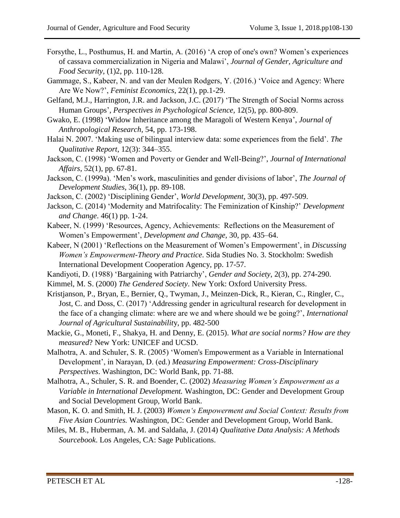- Forsythe, L., Posthumus, H. and Martin, A. (2016) 'A crop of one's own? Women's experiences of cassava commercialization in Nigeria and Malawi', *Journal of Gender, Agriculture and Food Security*, (1)2, pp. 110-128.
- Gammage, S., Kabeer, N. and van der Meulen Rodgers, Y. (2016.) 'Voice and Agency: Where Are We Now?', *Feminist Economics*, 22(1), pp.1-29.
- Gelfand, M.J., Harrington, J.R. and Jackson, J.C. (2017) 'The Strength of Social Norms across Human Groups', *Perspectives in Psychological Science,* 12(5), pp. 800-809.
- Gwako, E. (1998) 'Widow Inheritance among the Maragoli of Western Kenya', *Journal of Anthropological Research,* 54, pp. 173-198.
- Halai N. 2007. 'Making use of bilingual interview data: some experiences from the field'. *The Qualitative Report*, 12(3): 344–355.
- Jackson, C. (1998) 'Women and Poverty or Gender and Well-Being?', *Journal of International Affairs*, 52(1), pp. 67-81.
- Jackson, C. (1999a). 'Men's work, masculinities and gender divisions of labor', *The Journal of Development Studies*, 36(1), pp. 89-108.
- Jackson, C. (2002) 'Disciplining Gender', *World Development*, 30(3), pp. 497-509.
- Jackson, C. (2014) 'Modernity and Matrifocality: The Feminization of Kinship?' *Development and Change*. 46(1) pp. 1-24.
- Kabeer, N. (1999) 'Resources, Agency, Achievements: Reflections on the Measurement of Women's Empowerment', *Development and Change,* 30, pp. 435–64.
- Kabeer, N (2001) 'Reflections on the Measurement of Women's Empowerment', in *Discussing Women's Empowerment-Theory and Practice*. Sida Studies No. 3. Stockholm: Swedish International Development Cooperation Agency, pp. 17-57.
- Kandiyoti, D. (1988) 'Bargaining with Patriarchy', *Gender and Society*, 2(3), pp. 274-290.
- Kimmel, M. S. (2000) *The Gendered Society*. New York: Oxford University Press.
- Kristjanson, P., Bryan, E., Bernier, Q., Twyman, J., Meinzen-Dick, R., Kieran, C., Ringler, C., Jost, C. and Doss, C. (2017) 'Addressing gender in agricultural research for development in the face of a changing climate: where are we and where should we be going?', *International Journal of Agricultural Sustainabilit*y, pp. 482-500
- Mackie, G., Moneti, F., Shakya, H. and Denny, E. (2015). *What are social norms? How are they measured*? New York: UNICEF and UCSD.
- Malhotra, A. and Schuler, S. R. (2005) 'Women's Empowerment as a Variable in International Development', in Narayan, D. (ed.) *Measuring Empowerment: Cross-Disciplinary Perspectives*. Washington, DC: World Bank, pp. 71-88.
- Malhotra, A., Schuler, S. R. and Boender, C. (2002) *Measuring Women's Empowerment as a Variable in International Development.* Washington, DC: Gender and Development Group and Social Development Group, World Bank.
- Mason, K. O. and Smith, H. J. (2003) *Women's Empowerment and Social Context: Results from Five Asian Countries.* Washington, DC: Gender and Development Group, World Bank.
- Miles, M. B., Huberman, A. M. and Saldaña, J. (2014) *Qualitative Data Analysis: A Methods Sourcebook*. Los Angeles, CA: Sage Publications.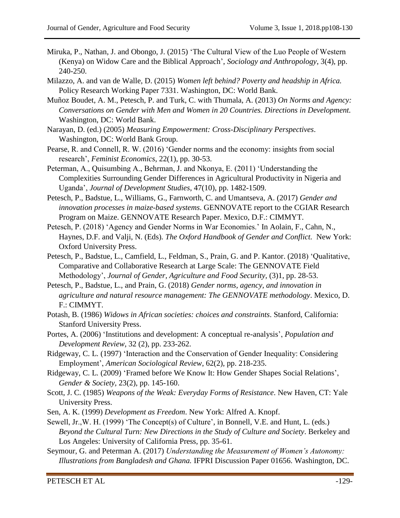- Miruka, P., Nathan, J. and Obongo, J. (2015) 'The Cultural View of the Luo People of Western (Kenya) on Widow Care and the Biblical Approach', *Sociology and Anthropology*, 3(4), pp. 240-250.
- Milazzo, A. and van de Walle, D. (2015) *Women left behind? Poverty and headship in Africa.* Policy Research Working Paper 7331. Washington, DC: World Bank.
- Muñoz Boudet, A. M., Petesch, P. and Turk, C. with Thumala, A. (2013) *On Norms and Agency: Conversations on Gender with Men and Women in 20 Countries. Directions in Development.* Washington, DC: World Bank.
- Narayan, D. (ed.) (2005) *Measuring Empowerment: Cross-Disciplinary Perspectives*. Washington, DC: World Bank Group.
- Pearse, R. and Connell, R. W. (2016) 'Gender norms and the economy: insights from social research', *Feminist Economics*, 22(1), pp. 30-53.
- Peterman, A., Quisumbing A., Behrman, J. and Nkonya, E. (2011) 'Understanding the Complexities Surrounding Gender Differences in Agricultural Productivity in Nigeria and Uganda', *Journal of Development Studies*, 47(10), pp. 1482-1509.
- Petesch, P., Badstue, L., Williams, G., Farnworth, C. and Umantseva, A. (2017) *Gender and innovation processes in maize-based systems*. GENNOVATE report to the CGIAR Research Program on Maize. GENNOVATE Research Paper. Mexico, D.F.: CIMMYT.
- Petesch, P. (2018) 'Agency and Gender Norms in War Economies.' In Aolain, F., Cahn, N., Haynes, D.F. and Valji, N. (Eds)*. The Oxford Handbook of Gender and Conflict.* New York: Oxford University Press.
- Petesch, P., Badstue, L., Camfield, L., Feldman, S., Prain, G. and P. Kantor. (2018) 'Qualitative, Comparative and Collaborative Research at Large Scale: The GENNOVATE Field Methodology', *Journal of Gender, Agriculture and Food Security,* (3)1, pp. 28-53.
- Petesch, P., Badstue, L., and Prain, G. (2018) *Gender norms, agency, and innovation in agriculture and natural resource management: The GENNOVATE methodology*. Mexico, D. F.: CIMMYT.
- Potash, B. (1986) *Widows in African societies: choices and constraints*. Stanford, California: Stanford University Press.
- Portes, A. (2006) 'Institutions and development: A conceptual re-analysis', *Population and Development Review*, 32 (2), pp. 233-262.
- Ridgeway, C. L. (1997) 'Interaction and the Conservation of Gender Inequality: Considering Employment', *American Sociological Review*, 62(2), pp. 218-235.
- Ridgeway, C. L. (2009) 'Framed before We Know It: How Gender Shapes Social Relations', *Gender & Society,* 23(2), pp. 145-160.
- Scott, J. C. (1985) *Weapons of the Weak: Everyday Forms of Resistance*. New Haven, CT: Yale University Press.
- Sen, A. K. (1999) *Development as Freedom*. New York: Alfred A. Knopf.
- Sewell, Jr., W. H. (1999) 'The Concept(s) of Culture', in Bonnell, V.E. and Hunt, L. (eds.) *Beyond the Cultural Turn: New Directions in the Study of Culture and Society*. Berkeley and Los Angeles: University of California Press, pp. 35-61.
- Seymour, G. and Peterman A. (2017) *Understanding the Measurement of Women's Autonomy: Illustrations from Bangladesh and Ghana.* IFPRI Discussion Paper 01656. Washington, DC.